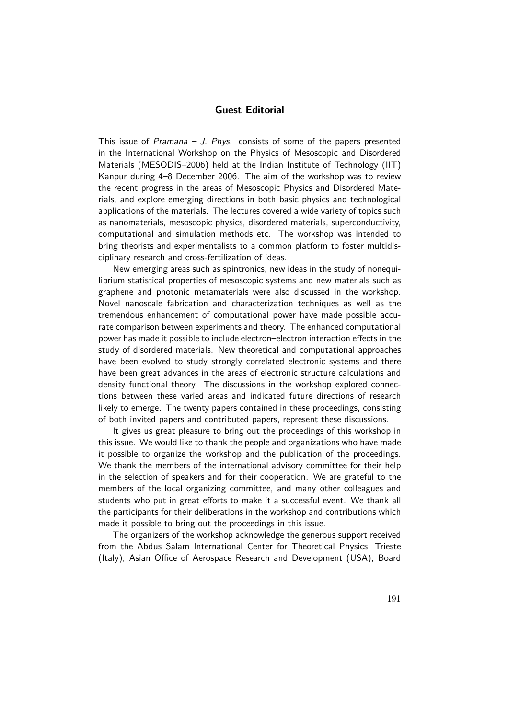## Guest Editorial

This issue of Pramana  $-$  J. Phys. consists of some of the papers presented in the International Workshop on the Physics of Mesoscopic and Disordered Materials (MESODIS–2006) held at the Indian Institute of Technology (IIT) Kanpur during 4–8 December 2006. The aim of the workshop was to review the recent progress in the areas of Mesoscopic Physics and Disordered Materials, and explore emerging directions in both basic physics and technological applications of the materials. The lectures covered a wide variety of topics such as nanomaterials, mesoscopic physics, disordered materials, superconductivity, computational and simulation methods etc. The workshop was intended to bring theorists and experimentalists to a common platform to foster multidisciplinary research and cross-fertilization of ideas.

New emerging areas such as spintronics, new ideas in the study of nonequilibrium statistical properties of mesoscopic systems and new materials such as graphene and photonic metamaterials were also discussed in the workshop. Novel nanoscale fabrication and characterization techniques as well as the tremendous enhancement of computational power have made possible accurate comparison between experiments and theory. The enhanced computational power has made it possible to include electron–electron interaction effects in the study of disordered materials. New theoretical and computational approaches have been evolved to study strongly correlated electronic systems and there have been great advances in the areas of electronic structure calculations and density functional theory. The discussions in the workshop explored connections between these varied areas and indicated future directions of research likely to emerge. The twenty papers contained in these proceedings, consisting of both invited papers and contributed papers, represent these discussions.

It gives us great pleasure to bring out the proceedings of this workshop in this issue. We would like to thank the people and organizations who have made it possible to organize the workshop and the publication of the proceedings. We thank the members of the international advisory committee for their help in the selection of speakers and for their cooperation. We are grateful to the members of the local organizing committee, and many other colleagues and students who put in great efforts to make it a successful event. We thank all the participants for their deliberations in the workshop and contributions which made it possible to bring out the proceedings in this issue.

The organizers of the workshop acknowledge the generous support received from the Abdus Salam International Center for Theoretical Physics, Trieste (Italy), Asian Office of Aerospace Research and Development (USA), Board